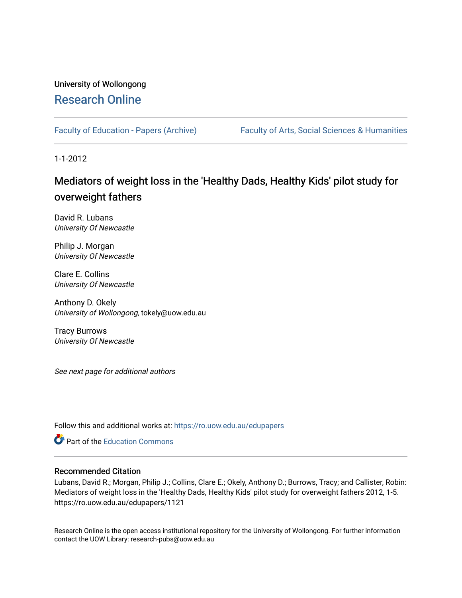# University of Wollongong [Research Online](https://ro.uow.edu.au/)

[Faculty of Education - Papers \(Archive\)](https://ro.uow.edu.au/edupapers) Faculty of Arts, Social Sciences & Humanities

1-1-2012

# Mediators of weight loss in the 'Healthy Dads, Healthy Kids' pilot study for overweight fathers

David R. Lubans University Of Newcastle

Philip J. Morgan University Of Newcastle

Clare E. Collins University Of Newcastle

Anthony D. Okely University of Wollongong, tokely@uow.edu.au

Tracy Burrows University Of Newcastle

See next page for additional authors

Follow this and additional works at: [https://ro.uow.edu.au/edupapers](https://ro.uow.edu.au/edupapers?utm_source=ro.uow.edu.au%2Fedupapers%2F1121&utm_medium=PDF&utm_campaign=PDFCoverPages) 

**C** Part of the [Education Commons](http://network.bepress.com/hgg/discipline/784?utm_source=ro.uow.edu.au%2Fedupapers%2F1121&utm_medium=PDF&utm_campaign=PDFCoverPages)

## Recommended Citation

Lubans, David R.; Morgan, Philip J.; Collins, Clare E.; Okely, Anthony D.; Burrows, Tracy; and Callister, Robin: Mediators of weight loss in the 'Healthy Dads, Healthy Kids' pilot study for overweight fathers 2012, 1-5. https://ro.uow.edu.au/edupapers/1121

Research Online is the open access institutional repository for the University of Wollongong. For further information contact the UOW Library: research-pubs@uow.edu.au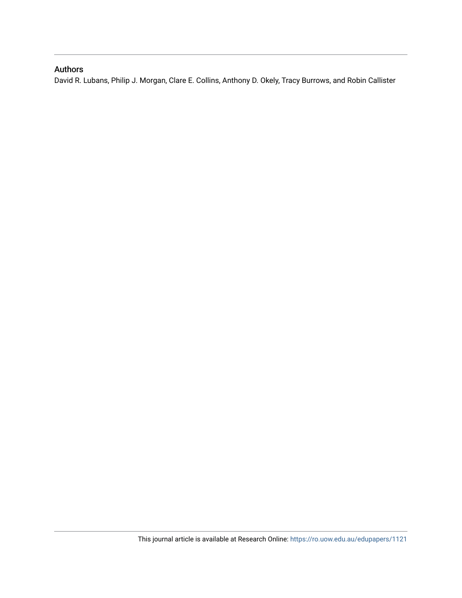## Authors

David R. Lubans, Philip J. Morgan, Clare E. Collins, Anthony D. Okely, Tracy Burrows, and Robin Callister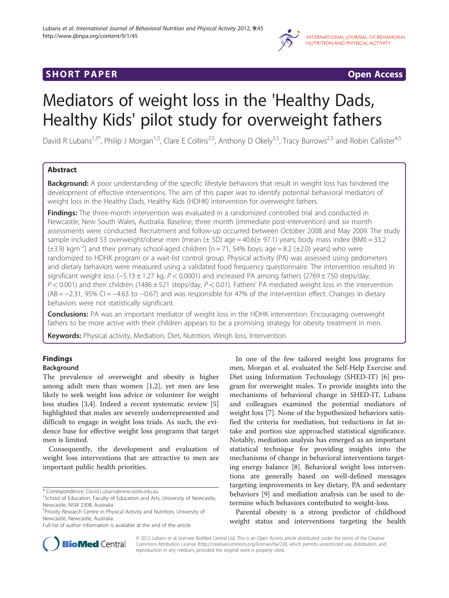

# **SHORT PAPER CONSIDER CONSIDER CONSIDER CONSIDER CONSIDER CONSIDER CONSIDER**

# Mediators of weight loss in the 'Healthy Dads, Healthy Kids' pilot study for overweight fathers

David R Lubans<sup>1,5\*</sup>, Philip J Morgan<sup>1,5</sup>, Clare E Collins<sup>2,5</sup>, Anthony D Okely<sup>3,5</sup>, Tracy Burrows<sup>2,5</sup> and Robin Callister<sup>4,5</sup>

## Abstract

Background: A poor understanding of the specific lifestyle behaviors that result in weight loss has hindered the development of effective interventions. The aim of this paper was to identify potential behavioral mediators of weight loss in the Healthy Dads, Healthy Kids (HDHK) intervention for overweight fathers.

Findings: The three-month intervention was evaluated in a randomized controlled trial and conducted in Newcastle, New South Wales, Australia. Baseline, three month (immediate post-intervention) and six month assessments were conducted. Recruitment and follow-up occurred between October 2008 and May 2009. The study sample included 53 overweight/obese men [mean  $(\pm$  SD) age = 40.6( $\pm$  97.1) years; body mass index (BMI) = 33.2  $(\pm 3.9)$  kgm<sup>-2</sup>] and their primary school-aged children [n = 71, 54% boys; age = 8.2 ( $\pm 2.0$ ) years] who were randomized to HDHK program or a wait-list control group. Physical activity (PA) was assessed using pedometers and dietary behaviors were measured using a validated food frequency questionnaire. The intervention resulted in significant weight loss (−5.13 ± 1.27 kg, P < 0.0001) and increased PA among fathers (2769 ± 750 steps/day,  $P < 0.001$ ) and their children (1486 ± 521 steps/day,  $P < 0.01$ ). Fathers' PA mediated weight loss in the intervention (AB = −2.31, 95% CI = −4.63 to −0.67) and was responsible for 47% of the intervention effect. Changes in dietary behaviors were not statistically significant.

**Conclusions:** PA was an important mediator of weight loss in the HDHK intervention. Encouraging overweight fathers to be more active with their children appears to be a promising strategy for obesity treatment in men.

Keywords: Physical activity, Mediation, Diet, Nutrition, Weigh loss, Intervention

# Findings

Background

The prevalence of overweight and obesity is higher among adult men than women [[1,2\]](#page-6-0), yet men are less likely to seek weight loss advice or volunteer for weight loss studies [\[3,4](#page-6-0)]. Indeed a recent systematic review [[5](#page-6-0)] highlighted that males are severely underrepresented and difficult to engage in weight loss trials. As such, the evidence base for effective weight loss programs that target men is limited.

Consequently, the development and evaluation of weight loss interventions that are attractive to men are important public health priorities.

In one of the few tailored weight loss programs for men, Morgan et al. evaluated the Self-Help Exercise and Diet using Information Technology (SHED-IT) [[6\]](#page-6-0) program for overweight males. To provide insights into the mechanisms of behavioral change in SHED-IT, Lubans and colleagues examined the potential mediators of weight loss [[7](#page-6-0)]. None of the hypothesized behaviors satisfied the criteria for mediation, but reductions in fat intake and portion size approached statistical significance. Notably, mediation analysis has emerged as an important statistical technique for providing insights into the mechanisms of change in behavioral interventions targeting energy balance [\[8](#page-6-0)]. Behavioral weight loss interventions are generally based on well-defined messages targeting improvements in key dietary, PA and sedentary behaviors [\[9](#page-6-0)] and mediation analysis can be used to determine which behaviors contributed to weight-loss.

Parental obesity is a strong predictor of childhood weight status and interventions targeting the health



© 2012 Lubans et al; licensee BioMed Central Ltd. This is an Open Access article distributed under the terms of the Creative Commons Attribution License (http://creativecommons.org/licenses/by/2.0), which permits unrestricted use, distribution, and reproduction in any medium, provided the original work is properly cited.

<sup>\*</sup> Correspondence: [David.Lubans@newcastle.edu.au](mailto:David.Lubans@newcastle.edu.au) <sup>1</sup>

<sup>&</sup>lt;sup>1</sup>School of Education, Faculty of Education and Arts, University of Newcastle, Newcastle, NSW 2308, Australia

<sup>&</sup>lt;sup>5</sup> Priority Research Centre in Physical Activity and Nutrition, University of Newcastle, Newcastle, Australia

Full list of author information is available at the end of the article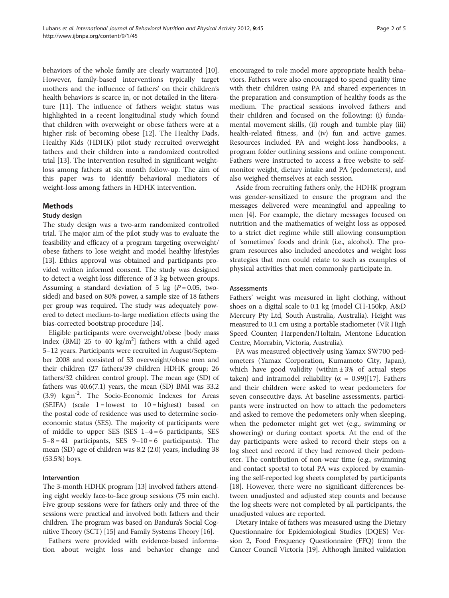behaviors of the whole family are clearly warranted [\[10](#page-6-0)]. However, family-based interventions typically target mothers and the influence of fathers' on their children's health behaviors is scarce in, or not detailed in the literature [[11\]](#page-6-0). The influence of fathers weight status was highlighted in a recent longitudinal study which found that children with overweight or obese fathers were at a higher risk of becoming obese [\[12](#page-6-0)]. The Healthy Dads, Healthy Kids (HDHK) pilot study recruited overweight fathers and their children into a randomized controlled trial [\[13\]](#page-6-0). The intervention resulted in significant weightloss among fathers at six month follow-up. The aim of this paper was to identify behavioral mediators of weight-loss among fathers in HDHK intervention.

#### Methods

## Study design

The study design was a two-arm randomized controlled trial. The major aim of the pilot study was to evaluate the feasibility and efficacy of a program targeting overweight/ obese fathers to lose weight and model healthy lifestyles [[13](#page-6-0)]. Ethics approval was obtained and participants provided written informed consent. The study was designed to detect a weight-loss difference of 3 kg between groups. Assuming a standard deviation of 5 kg  $(P = 0.05,$  twosided) and based on 80% power, a sample size of 18 fathers per group was required. The study was adequately powered to detect medium-to-large mediation effects using the bias-corrected bootstrap procedure [\[14\]](#page-6-0).

Eligible participants were overweight/obese [body mass index (BMI) 25 to 40  $\text{kg/m}^2$ ] fathers with a child aged 5–12 years. Participants were recruited in August/September 2008 and consisted of 53 overweight/obese men and their children (27 fathers/39 children HDHK group; 26 fathers/32 children control group). The mean age (SD) of fathers was 40.6(7.1) years, the mean (SD) BMI was 33.2 (3.9) kgm-2. The Socio-Economic Indexes for Areas (SEIFA) (scale  $1 =$  lowest to  $10 =$  highest) based on the postal code of residence was used to determine socioeconomic status (SES). The majority of participants were of middle to upper SES (SES  $1-4=6$  participants, SES  $5-8 = 41$  participants, SES  $9-10=6$  participants). The mean (SD) age of children was 8.2 (2.0) years, including 38 (53.5%) boys.

#### Intervention

The 3-month HDHK program [\[13\]](#page-6-0) involved fathers attending eight weekly face-to-face group sessions (75 min each). Five group sessions were for fathers only and three of the sessions were practical and involved both fathers and their children. The program was based on Bandura's Social Cognitive Theory (SCT) [\[15](#page-6-0)] and Family Systems Theory [[16\]](#page-6-0).

Fathers were provided with evidence-based information about weight loss and behavior change and

encouraged to role model more appropriate health behaviors. Fathers were also encouraged to spend quality time with their children using PA and shared experiences in the preparation and consumption of healthy foods as the medium. The practical sessions involved fathers and their children and focused on the following: (i) fundamental movement skills, (ii) rough and tumble play (iii) health-related fitness, and (iv) fun and active games. Resources included PA and weight-loss handbooks, a program folder outlining sessions and online component. Fathers were instructed to access a free website to selfmonitor weight, dietary intake and PA (pedometers), and also weighed themselves at each session.

Aside from recruiting fathers only, the HDHK program was gender-sensitized to ensure the program and the messages delivered were meaningful and appealing to men [[4\]](#page-6-0). For example, the dietary messages focused on nutrition and the mathematics of weight loss as opposed to a strict diet regime while still allowing consumption of 'sometimes' foods and drink (i.e., alcohol). The program resources also included anecdotes and weight loss strategies that men could relate to such as examples of physical activities that men commonly participate in.

#### Assessments

Fathers' weight was measured in light clothing, without shoes on a digital scale to 0.1 kg (model CH-150kp, A&D Mercury Pty Ltd, South Australia, Australia). Height was measured to 0.1 cm using a portable stadiometer (VR High Speed Counter; Harpenden/Holtain, Mentone Education Centre, Morrabin, Victoria, Australia).

PA was measured objectively using Yamax SW700 pedometers (Yamax Corporation, Kumamoto City, Japan), which have good validity (within  $\pm 3\%$  of actual steps taken) and intramodel reliability ( $\alpha = 0.99$ )[[17\]](#page-6-0). Fathers and their children were asked to wear pedometers for seven consecutive days. At baseline assessments, participants were instructed on how to attach the pedometers and asked to remove the pedometers only when sleeping, when the pedometer might get wet (e.g., swimming or showering) or during contact sports. At the end of the day participants were asked to record their steps on a log sheet and record if they had removed their pedometer. The contribution of non-wear time (e.g., swimming and contact sports) to total PA was explored by examining the self-reported log sheets completed by participants [[18\]](#page-6-0). However, there were no significant differences between unadjusted and adjusted step counts and because the log sheets were not completed by all participants, the unadjusted values are reported.

Dietary intake of fathers was measured using the Dietary Questionnaire for Epidemiological Studies (DQES) Version 2, Food Frequency Questionnaire (FFQ) from the Cancer Council Victoria [\[19\]](#page-6-0). Although limited validation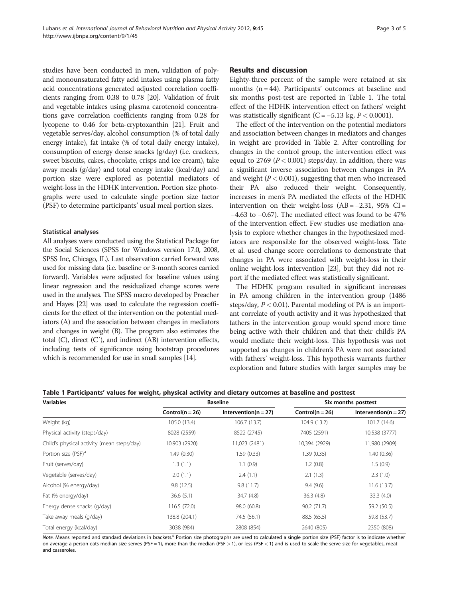studies have been conducted in men, validation of polyand monounsaturated fatty acid intakes using plasma fatty acid concentrations generated adjusted correlation coefficients ranging from 0.38 to 0.78 [\[20\]](#page-6-0). Validation of fruit and vegetable intakes using plasma carotenoid concentrations gave correlation coefficients ranging from 0.28 for lycopene to 0.46 for beta-cryptoxanthin [[21](#page-6-0)]. Fruit and vegetable serves/day, alcohol consumption (% of total daily energy intake), fat intake (% of total daily energy intake), consumption of energy dense snacks (g/day) (i.e. crackers, sweet biscuits, cakes, chocolate, crisps and ice cream), take away meals (g/day) and total energy intake (kcal/day) and portion size were explored as potential mediators of weight-loss in the HDHK intervention. Portion size photographs were used to calculate single portion size factor (PSF) to determine participants' usual meal portion sizes.

#### Statistical analyses

All analyses were conducted using the Statistical Package for the Social Sciences (SPSS for Windows version 17.0, 2008, SPSS Inc, Chicago, IL). Last observation carried forward was used for missing data (i.e. baseline or 3-month scores carried forward). Variables were adjusted for baseline values using linear regression and the residualized change scores were used in the analyses. The SPSS macro developed by Preacher and Hayes [\[22\]](#page-6-0) was used to calculate the regression coefficients for the effect of the intervention on the potential mediators (A) and the association between changes in mediators and changes in weight (B). The program also estimates the total  $(C)$ , direct  $(C')$ , and indirect  $(AB)$  intervention effects, including tests of significance using bootstrap procedures which is recommended for use in small samples [[14\]](#page-6-0).

#### Results and discussion

Eighty-three percent of the sample were retained at six months  $(n = 44)$ . Participants' outcomes at baseline and six months post-test are reported in Table 1. The total effect of the HDHK intervention effect on fathers' weight was statistically significant (C =  $-5.13$  kg,  $P < 0.0001$ ).

The effect of the intervention on the potential mediators and association between changes in mediators and changes in weight are provided in Table [2](#page-5-0). After controlling for changes in the control group, the intervention effect was equal to 2769 ( $P < 0.001$ ) steps/day. In addition, there was a significant inverse association between changes in PA and weight  $(P < 0.001)$ , suggesting that men who increased their PA also reduced their weight. Consequently, increases in men's PA mediated the effects of the HDHK intervention on their weight-loss  $(AB = -2.31, 95\% \text{ CI} =$ −4.63 to −0.67). The mediated effect was found to be 47% of the intervention effect. Few studies use mediation analysis to explore whether changes in the hypothesized mediators are responsible for the observed weight-loss. Tate et al. used change score correlations to demonstrate that changes in PA were associated with weight-loss in their online weight-loss intervention [\[23\]](#page-6-0), but they did not report if the mediated effect was statistically significant.

The HDHK program resulted in significant increases in PA among children in the intervention group (1486 steps/day,  $P < 0.01$ ). Parental modeling of PA is an important correlate of youth activity and it was hypothesized that fathers in the intervention group would spend more time being active with their children and that their child's PA would mediate their weight-loss. This hypothesis was not supported as changes in children's PA were not associated with fathers' weight-loss. This hypothesis warrants further exploration and future studies with larger samples may be

| Table 1 Participants' values for weight, physical activity and dietary outcomes at baseline and posttest |  |  |
|----------------------------------------------------------------------------------------------------------|--|--|
|----------------------------------------------------------------------------------------------------------|--|--|

| <b>Variables</b>                           |                   | <b>Baseline</b>        | Six months posttest |                          |  |
|--------------------------------------------|-------------------|------------------------|---------------------|--------------------------|--|
|                                            | $Control(n = 26)$ | $Intervention(n = 27)$ | $Control(n = 26)$   | Intervention( $n = 27$ ) |  |
| Weight (kg)                                | 105.0 (13.4)      | 106.7 (13.7)           | 104.9 (13.2)        | 101.7 (14.6)             |  |
| Physical activity (steps/day)              | 8028 (2559)       | 8522 (2745)            | 7405 (2591)         | 10,538 (3777)            |  |
| Child's physical activity (mean steps/day) | 10,903 (2920)     | 11,023 (2481)          | 10,394 (2929)       | 11,980 (2909)            |  |
| Portion size (PSF) <sup>a</sup>            | 1.49 (0.30)       | 1.59(0.33)             | 1.39(0.35)          | 1.40(0.36)               |  |
| Fruit (serves/day)                         | 1.3(1.1)          | 1.1(0.9)               | 1.2(0.8)            | 1.5(0.9)                 |  |
| Vegetable (serves/day)                     | 2.0(1.1)          | 2.4(1.1)               | 2.1(1.3)            | 2.3(1.0)                 |  |
| Alcohol (% energy/day)                     | 9.8(12.5)         | 9.8(11.7)              | 9.4(9.6)            | 11.6(13.7)               |  |
| Fat (% energy/day)                         | 36.6(5.1)         | 34.7(4.8)              | 36.3(4.8)           | 33.3(4.0)                |  |
| Energy dense snacks (g/day)                | 116.5(72.0)       | 98.0 (60.8)            | 90.2(71.7)          | 59.2 (50.5)              |  |
| Take away meals (g/day)                    | 138.8 (204.1)     | 74.5 (56.1)            | 88.5 (65.5)         | 59.8 (53.7)              |  |
| Total energy (kcal/day)                    | 3038 (984)        | 2808 (854)             | 2640 (805)          | 2350 (808)               |  |

Note. Means reported and standard deviations in brackets.<sup>a</sup> Portion size photographs are used to calculated a single portion size (PSF) factor is to indicate whether on average a person eats median size serves (PSF = 1), more than the median (PSF > 1), or less (PSF < 1) and is used to scale the serve size for vegetables, meat and casseroles.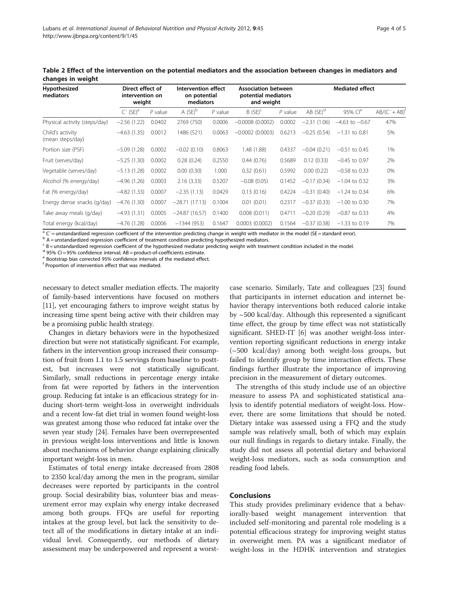| Hypothesized<br>mediators            | Direct effect of<br>intervention on<br>weight |           | Intervention effect<br>on potential<br>mediators |           | <b>Association between</b><br>potential mediators<br>and weight |           | <b>Mediated effect</b> |                     |                        |
|--------------------------------------|-----------------------------------------------|-----------|--------------------------------------------------|-----------|-----------------------------------------------------------------|-----------|------------------------|---------------------|------------------------|
|                                      | $C'$ (SE) <sup>a</sup>                        | $P$ value | $A$ (SE) <sup>b</sup>                            | $P$ value | $B(SE)^c$                                                       | $P$ value | $AB$ (SE) <sup>d</sup> | 95% Cl <sup>e</sup> | $AB/(C'+AB)^{\dagger}$ |
| Physical activity (steps/day)        | $-2.56(1.22)$                                 | 0.0402    | 2769 (750)                                       | 0.0006    | $-0.0008(0.0002)$                                               | 0.0002    | $-2.31$<br>(1.06)      | $-4.63$ to $-0.67$  | 47%                    |
| Child's activity<br>(mean steps/day) | $-4.63(1.35)$                                 | 0.0012    | 1486 (521)                                       | 0.0063    | $-0.0002(0.0003)$                                               | 0.6213    | $-0.25(0.54)$          | $-1.31$ to 0.81     | 5%                     |
| Portion size (PSF)                   | $-5.09(1.28)$                                 | 0.0002    | $-0.02(0.10)$                                    | 0.8063    | 1.48 (1.88)                                                     | 0.4337    | $-0.04(0.21)$          | $-0.51$ to 0.45     | 1%                     |
| Fruit (serves/day)                   | $-5.25(1.30)$                                 | 0.0002    | 0.28(0.24)                                       | 0.2550    | 0.44(0.76)                                                      | 0.5689    | 0.12(0.33)             | $-0.45$ to 0.97     | 2%                     |
| Vegetable (serves/day)               | $-5.13(1.28)$                                 | 0.0002    | 0.00(0.30)                                       | 1.000     | 0.32(0.61)                                                      | 0.5992    | 0.00(0.22)             | $-0.58$ to 0.33     | 0%                     |
| Alcohol (% energy/day)               | $-4.96(1.26)$                                 | 0.0003    | 2.16(3.33)                                       | 0.5207    | $-0.08(0.05)$                                                   | 0.1452    | $-0.17(0.34)$          | $-1.04$ to 0.32     | 3%                     |
| Fat (% energy/day)                   | $-4.82(1.33)$                                 | 0.0007    | $-2.35(1.13)$                                    | 0.0429    | 0.13(0.16)                                                      | 0.4224    | $-0.31(0.40)$          | $-1.24$ to 0.34     | 6%                     |
| Energy dense snacks (g/day)          | $-4.76(1.30)$                                 | 0.0007    | $-28.71(17.13)$                                  | 0.1004    | 0.01(0.01)                                                      | 0.2317    | $-0.37(0.33)$          | $-1.00$ to 0.30     | 7%                     |
| Take away meals (g/day)              | $-4.93(1.31)$                                 | 0.0005    | $-24.87(16.57)$                                  | 0.1400    | 0.008(0.011)                                                    | 0.4711    | $-0.20(0.29)$          | $-0.87$ to 0.33     | 4%                     |
| Total energy (kcal/day)              | $-4.76(1.28)$                                 | 0.0006    | $-1344(953)$                                     | 0.1647    | 0.0003(0.0002)                                                  | 0.1564    | $-0.37(0.38)$          | $-1.33$ to 0.19     | 7%                     |

<span id="page-5-0"></span>Table 2 Effect of the intervention on the potential mediators and the association between changes in mediators and changes in weight

 $a^2$  C´ = unstandardized regression coefficient of the intervention predicting change in weight with mediator in the model (SE = standard error).

b A = unstandardized regression coefficient of treatment condition predicting hypothesized mediators.

 $c$  B = unstandardized regression coefficient of the hypothesized mediator predicting weight with treatment condition included in the model.

 $d$  95% CI = 95% confidence interval; AB = product-of-coefficients estimate.

<sup>e</sup> Bootstrap bias corrected 95% confidence intervals of the mediated effect.

<sup>f</sup> Proportion of intervention effect that was mediated.

necessary to detect smaller mediation effects. The majority of family-based interventions have focused on mothers [[11](#page-6-0)], yet encouraging fathers to improve weight status by increasing time spent being active with their children may be a promising public health strategy.

Changes in dietary behaviors were in the hypothesized direction but were not statistically significant. For example, fathers in the intervention group increased their consumption of fruit from 1.1 to 1.5 servings from baseline to posttest, but increases were not statistically significant. Similarly, small reductions in percentage energy intake from fat were reported by fathers in the intervention group. Reducing fat intake is an efficacious strategy for inducing short-term weight-loss in overweight individuals and a recent low-fat diet trial in women found weight-loss was greatest among those who reduced fat intake over the seven year study [[24](#page-6-0)]. Females have been overrepresented in previous weight-loss interventions and little is known about mechanisms of behavior change explaining clinically important weight-loss in men.

Estimates of total energy intake decreased from 2808 to 2350 kcal/day among the men in the program, similar decreases were reported by participants in the control group. Social desirability bias, volunteer bias and measurement error may explain why energy intake decreased among both groups. FFQs are useful for reporting intakes at the group level, but lack the sensitivity to detect all of the modifications in dietary intake at an individual level. Consequently, our methods of dietary assessment may be underpowered and represent a worst-

case scenario. Similarly, Tate and colleagues [[23](#page-6-0)] found that participants in internet education and internet behavior therapy interventions both reduced calorie intake by ~500 kcal/day. Although this represented a significant time effect, the group by time effect was not statistically significant. SHED-IT [[6\]](#page-6-0) was another weight-loss intervention reporting significant reductions in energy intake (~500 kcal/day) among both weight-loss groups, but failed to identify group by time interaction effects. These findings further illustrate the importance of improving precision in the measurement of dietary outcomes.

The strengths of this study include use of an objective measure to assess PA and sophisticated statistical analysis to identify potential mediators of weight-loss. However, there are some limitations that should be noted. Dietary intake was assessed using a FFQ and the study sample was relatively small, both of which may explain our null findings in regards to dietary intake. Finally, the study did not assess all potential dietary and behavioral weight-loss mediators, such as soda consumption and reading food labels.

#### Conclusions

This study provides preliminary evidence that a behaviorally-based weight management intervention that included self-monitoring and parental role modeling is a potential efficacious strategy for improving weight status in overweight men. PA was a significant mediator of weight-loss in the HDHK intervention and strategies